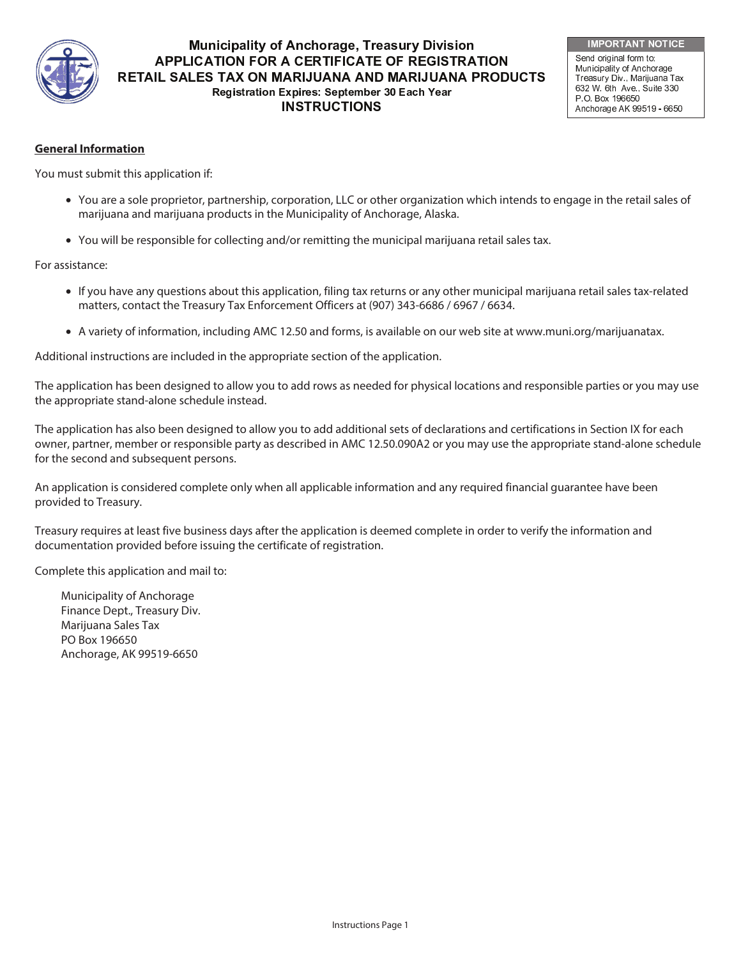

# -  - - **APPLICATION FOR A CERTIFICATE OF REGISTRATION** RETAIL SALES TAX ON MARIJUANA AND MARIJUANA PRODUCTS Registration Expires: September 30 Each Year **INSTRUCTIONS**

**IMPORTANT NOTICE** 

Send original form to: Municipality of Anchorage Treasury Div., Marijuana Tax 632 W. 6th Ave., Suite 330 P.O. Box 196650 Anchorage AK 99519 - 6650

### **General Information**

You must submit this application if:

- You are a sole proprietor, partnership, corporation, LLC or other organization which intends to engage in the retail sales of marijuana and marijuana products in the Municipality of Anchorage, Alaska.
- You will be responsible for collecting and/or remitting the municipal marijuana retail sales tax.

For assistance:

- If you have any questions about this application, filing tax returns or any other municipal marijuana retail sales tax-related matters, contact the Treasury Tax Enforcement Officers at (907) 343-6686 / 6967 / 6634.
- A variety of information, including AMC 12.50 and forms, is available on our web site at www.muni.org/marijuanatax.

Additional instructions are included in the appropriate section of the application.

The application has been designed to allow you to add rows as needed for physical locations and responsible parties or you may use the appropriate stand-alone schedule instead.

The application has also been designed to allow you to add additional sets of declarations and certifications in Section IX for each owner, partner, member or responsible party as described in AMC 12.50.090A2 or you may use the appropriate stand-alone schedule for the second and subsequent persons.

An application is considered complete only when all applicable information and any required financial guarantee have been provided to Treasury.

Treasury requires at least five business days after the application is deemed complete in order to verify the information and documentation provided before issuing the certificate of registration.

Complete this application and mail to:

Municipality of Anchorage Finance Dept., Treasury Div. Marijuana Sales Tax PO Box 196650 Anchorage, AK 99519-6650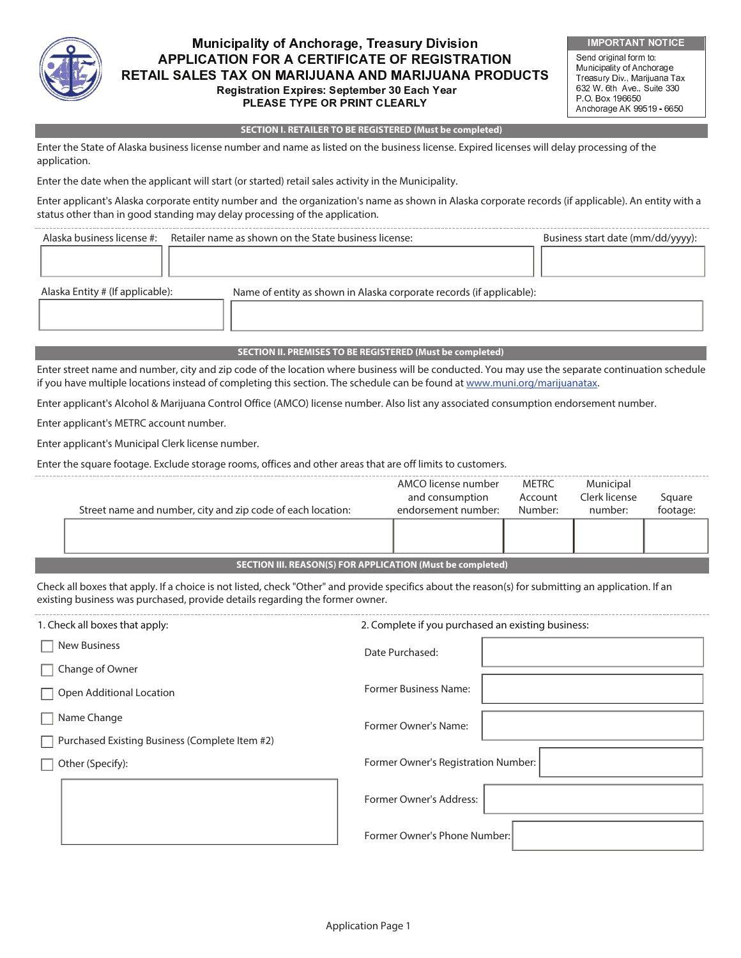

í

í

# -  - - APPLICATION FOR A CERTIFICATE OF REGISTRATION RETAIL SALES TAX ON MARIJUANA AND MARIJUANA PRODUCTS Registration Expires: September 30 Each Year PLEASE TYPE OR PRINT CLEARLY

IMPORTANT NOTICE Send original form to: Municipality of Anchorage Treasury Div , Marijuana Tax 632 W. 6th Ave., Suite 330 P.O. Box 196650 Anchorage AK 99519 - 6650

#### **SECTION I. RETAILER TO BE REGISTERED (Must be completed)**

Enter the State of Alaska business license number and name as listed on the business license. Expired licenses will delay processing of the application.

Enter the date when the applicant will start (or started) retail sales activity in the Municipality.

Enter applicant's Alaska corporate entity number and the organization's name as shown in Alaska corporate records (if applicable). An entity with a status other than in good standing may delay processing of the application.

|                                  | Alaska business license #: Retailer name as shown on the State business license: | Business start date (mm/dd/yyyy): |
|----------------------------------|----------------------------------------------------------------------------------|-----------------------------------|
|                                  |                                                                                  |                                   |
|                                  |                                                                                  |                                   |
| Alaska Entity # (If applicable): | Name of entity as shown in Alaska corporate records (if applicable):             |                                   |
|                                  |                                                                                  |                                   |
|                                  |                                                                                  |                                   |

#### **SECTION II. PREMISES TO BE REGISTERED (Must be completed)**

Enter street name and number, city and zip code of the location where business will be conducted. You may use the separate continuation schedule if you have multiple locations instead of completing this section. The schedule can be found at www.muni.org/marijuanatax.

Enter applicant's Alcohol & Marijuana Control Office (AMCO) license number. Also list any associated consumption endorsement number.

Enter applicant's METRC account number.

Enter applicant's Municipal Clerk license number.

Enter the square footage. Exclude storage rooms, offices and other areas that are off limits to customers.

|                                                            | Street name and number, city and zip code of each location: | AMCO license number<br>and consumption<br>endorsement number: | METRC<br>Account<br>Number: | Municipal<br>Clerk license<br>number: | Square<br>footage: |
|------------------------------------------------------------|-------------------------------------------------------------|---------------------------------------------------------------|-----------------------------|---------------------------------------|--------------------|
|                                                            |                                                             |                                                               |                             |                                       |                    |
| SECTION III. REASON(S) FOR APPLICATION (Must be completed) |                                                             |                                                               |                             |                                       |                    |

Check all boxes that apply. If a choice is not listed, check "Other" and provide specifics about the reason(s) for submitting an application. If an existing business was purchased, provide details regarding the former owner.

| 1. Check all boxes that apply:                        | 2. Complete if you purchased an existing business: |  |  |
|-------------------------------------------------------|----------------------------------------------------|--|--|
| $\Box$ New Business                                   | Date Purchased:                                    |  |  |
| $\Box$ Change of Owner                                |                                                    |  |  |
| $\Box$ Open Additional Location                       | <b>Former Business Name:</b>                       |  |  |
| $\Box$ Name Change                                    | Former Owner's Name:                               |  |  |
| $\Box$ Purchased Existing Business (Complete Item #2) |                                                    |  |  |
| Other (Specify):                                      | Former Owner's Registration Number:                |  |  |
|                                                       | Former Owner's Address:                            |  |  |
|                                                       | Former Owner's Phone Number:                       |  |  |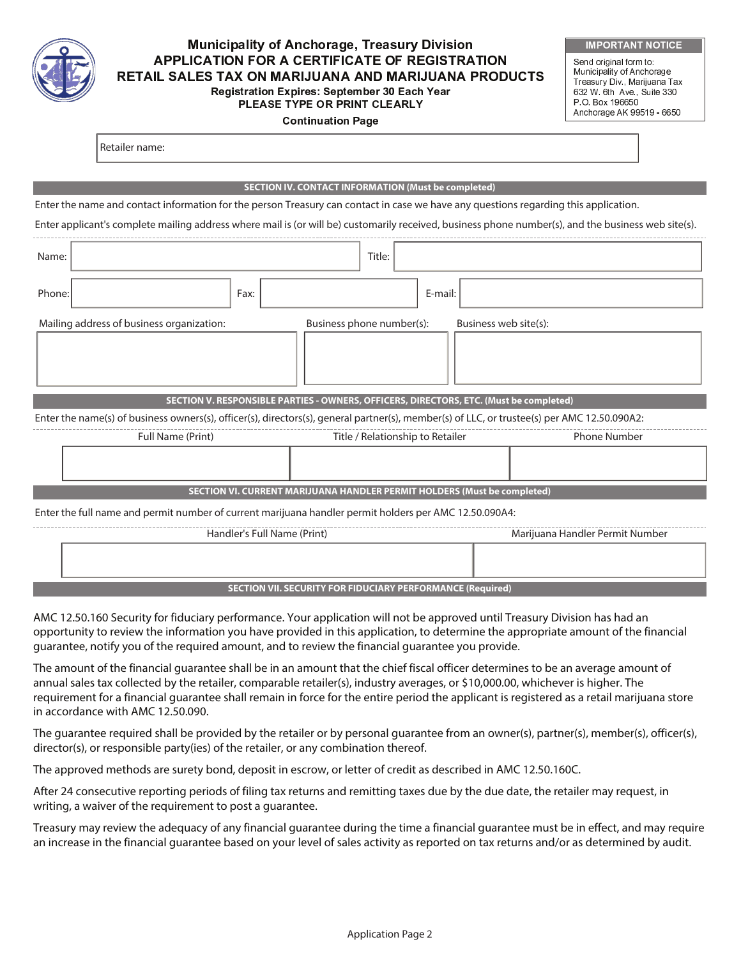

Retailer name:

## -  - - APPLICATION FOR A CERTIFICATE OF REGISTRATION RETAIL SALES TAX ON MARIJUANA AND MARIJUANA PRODUCTS Registration Expires: September 30 Each Year PLEASE TYPE OR PRINT CLEARLY

#### **Continuation Page**

| <b>IMPORTANT NOTICE</b> |  |  |
|-------------------------|--|--|
|                         |  |  |

Send original form to: Municipality of Anchorage Treasury Div., Marijuana Tax 632 W. 6th Ave., Suite 330 P.O. Box 196650 Anchorage AK 99519 - 6650

|        |                                                                                                                                                     |                             | <b>SECTION IV. CONTACT INFORMATION (Must be completed)</b>               |                                  |         |                       |                                 |  |
|--------|-----------------------------------------------------------------------------------------------------------------------------------------------------|-----------------------------|--------------------------------------------------------------------------|----------------------------------|---------|-----------------------|---------------------------------|--|
|        | Enter the name and contact information for the person Treasury can contact in case we have any questions regarding this application.                |                             |                                                                          |                                  |         |                       |                                 |  |
|        | Enter applicant's complete mailing address where mail is (or will be) customarily received, business phone number(s), and the business web site(s). |                             |                                                                          |                                  |         |                       |                                 |  |
| Name:  |                                                                                                                                                     |                             |                                                                          | Title:                           |         |                       |                                 |  |
| Phone: |                                                                                                                                                     | Fax:                        |                                                                          |                                  | E-mail: |                       |                                 |  |
|        | Mailing address of business organization:                                                                                                           |                             |                                                                          | Business phone number(s):        |         | Business web site(s): |                                 |  |
|        |                                                                                                                                                     |                             |                                                                          |                                  |         |                       |                                 |  |
|        | SECTION V. RESPONSIBLE PARTIES - OWNERS, OFFICERS, DIRECTORS, ETC. (Must be completed)                                                              |                             |                                                                          |                                  |         |                       |                                 |  |
|        | Enter the name(s) of business owners(s), officer(s), directors(s), general partner(s), member(s) of LLC, or trustee(s) per AMC 12.50.090A2:         |                             |                                                                          |                                  |         |                       |                                 |  |
|        | Full Name (Print)                                                                                                                                   |                             |                                                                          | Title / Relationship to Retailer |         |                       | <b>Phone Number</b>             |  |
|        |                                                                                                                                                     |                             |                                                                          |                                  |         |                       |                                 |  |
|        |                                                                                                                                                     |                             | SECTION VI. CURRENT MARIJUANA HANDLER PERMIT HOLDERS (Must be completed) |                                  |         |                       |                                 |  |
|        | Enter the full name and permit number of current marijuana handler permit holders per AMC 12.50.090A4:                                              |                             |                                                                          |                                  |         |                       |                                 |  |
|        |                                                                                                                                                     | Handler's Full Name (Print) |                                                                          |                                  |         |                       | Marijuana Handler Permit Number |  |
|        |                                                                                                                                                     |                             |                                                                          |                                  |         |                       |                                 |  |
|        |                                                                                                                                                     |                             | <b>SECTION VII. SECURITY FOR FIDUCIARY PERFORMANCE (Required)</b>        |                                  |         |                       |                                 |  |

AMC 12.50.160 Security for fiduciary performance. Your application will not be approved until Treasury Division has had an opportunity to review the information you have provided in this application, to determine the appropriate amount of the financial guarantee, notify you of the required amount, and to review the financial guarantee you provide.

The amount of the financial guarantee shall be in an amount that the chief fiscal officer determines to be an average amount of annual sales tax collected by the retailer, comparable retailer(s), industry averages, or \$10,000.00, whichever is higher. The requirement for a financial guarantee shall remain in force for the entire period the applicant is registered as a retail marijuana store in accordance with AMC 12.50.090.

The guarantee required shall be provided by the retailer or by personal guarantee from an owner(s), partner(s), member(s), officer(s), director(s), or responsible party(ies) of the retailer, or any combination thereof.

The approved methods are surety bond, deposit in escrow, or letter of credit as described in AMC 12.50.160C.

After 24 consecutive reporting periods of filing tax returns and remitting taxes due by the due date, the retailer may request, in writing, a waiver of the requirement to post a guarantee.

Treasury may review the adequacy of any financial guarantee during the time a financial guarantee must be in effect, and may require an increase in the financial guarantee based on your level of sales activity as reported on tax returns and/or as determined by audit.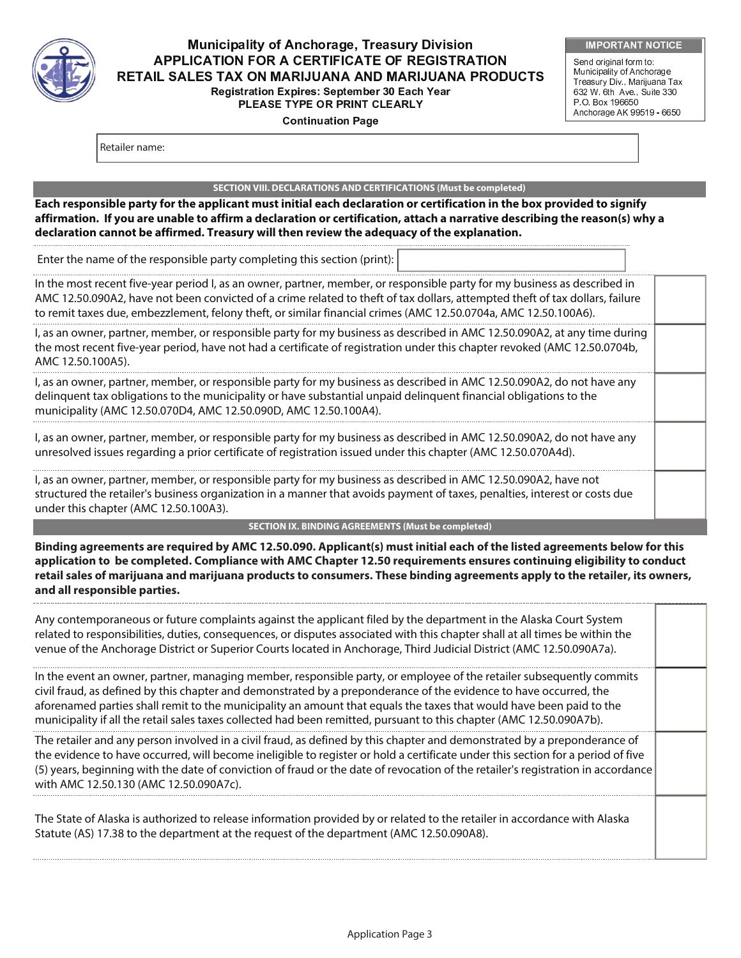

## -  - - APPLICATION FOR A CERTIFICATE OF REGISTRATION RETAIL SALES TAX ON MARIJUANA AND MARIJUANA PRODUCTS Registration Expires: September 30 Each Year PLEASE TYPE OR PRINT CLEARLY

**Continuation Page** 

Send original form to: Municipality of Anchorage Treasury Div., Marijuana Tax 632 W. 6th Ave., Suite 330 P.O. Box 196650 Anchorage AK 99519 - 6650

Retailer name:

#### **SECTION VIII. DECLARATIONS AND CERTIFICATIONS (Must be completed)**

**Each responsible party for the applicant must initial each declaration or certification in the box provided to signify affirmation. If you are unable to affirm a declaration or certification, attach a narrative describing the reason(s) why a declaration cannot be affirmed. Treasury will then review the adequacy of the explanation.**

Enter the name of the responsible party completing this section (print):

In the most recent five-year period I, as an owner, partner, member, or responsible party for my business as described in AMC 12.50.090A2, have not been convicted of a crime related to theft of tax dollars, attempted theft of tax dollars, failure to remit taxes due, embezzlement, felony theft, or similar financial crimes (AMC 12.50.0704a, AMC 12.50.100A6).

I, as an owner, partner, member, or responsible party for my business as described in AMC 12.50.090A2, at any time during the most recent five-year period, have not had a certificate of registration under this chapter revoked (AMC 12.50.0704b, AMC 12.50.100A5).

I, as an owner, partner, member, or responsible party for my business as described in AMC 12.50.090A2, do not have any delinquent tax obligations to the municipality or have substantial unpaid delinquent financial obligations to the municipality (AMC 12.50.070D4, AMC 12.50.090D, AMC 12.50.100A4).

I, as an owner, partner, member, or responsible party for my business as described in AMC 12.50.090A2, do not have any unresolved issues regarding a prior certificate of registration issued under this chapter (AMC 12.50.070A4d).

I, as an owner, partner, member, or responsible party for my business as described in AMC 12.50.090A2, have not structured the retailer's business organization in a manner that avoids payment of taxes, penalties, interest or costs due under this chapter (AMC 12.50.100A3).

#### **SECTION IX. BINDING AGREEMENTS (Must be completed)**

**Binding agreements are required by AMC 12.50.090. Applicant(s) must initial each of the listed agreements below for this application to be completed. Compliance with AMC Chapter 12.50 requirements ensures continuing eligibility to conduct retail sales of marijuana and marijuana products to consumers. These binding agreements apply to the retailer, its owners, and all responsible parties.** 

| Any contemporaneous or future complaints against the applicant filed by the department in the Alaska Court System<br>related to responsibilities, duties, consequences, or disputes associated with this chapter shall at all times be within the<br>venue of the Anchorage District or Superior Courts located in Anchorage, Third Judicial District (AMC 12.50.090A7a).                                                                                                                |  |
|------------------------------------------------------------------------------------------------------------------------------------------------------------------------------------------------------------------------------------------------------------------------------------------------------------------------------------------------------------------------------------------------------------------------------------------------------------------------------------------|--|
| In the event an owner, partner, managing member, responsible party, or employee of the retailer subsequently commits<br>civil fraud, as defined by this chapter and demonstrated by a preponderance of the evidence to have occurred, the<br>aforenamed parties shall remit to the municipality an amount that equals the taxes that would have been paid to the<br>municipality if all the retail sales taxes collected had been remitted, pursuant to this chapter (AMC 12.50.090A7b). |  |
| The retailer and any person involved in a civil fraud, as defined by this chapter and demonstrated by a preponderance of<br>the evidence to have occurred, will become ineligible to register or hold a certificate under this section for a period of five<br>(5) years, beginning with the date of conviction of fraud or the date of revocation of the retailer's registration in accordance<br>with AMC 12.50.130 (AMC 12.50.090A7c).                                                |  |
| The State of Alaska is authorized to release information provided by or related to the retailer in accordance with Alaska<br>Statute (AS) 17.38 to the department at the request of the department (AMC 12.50.090A8).                                                                                                                                                                                                                                                                    |  |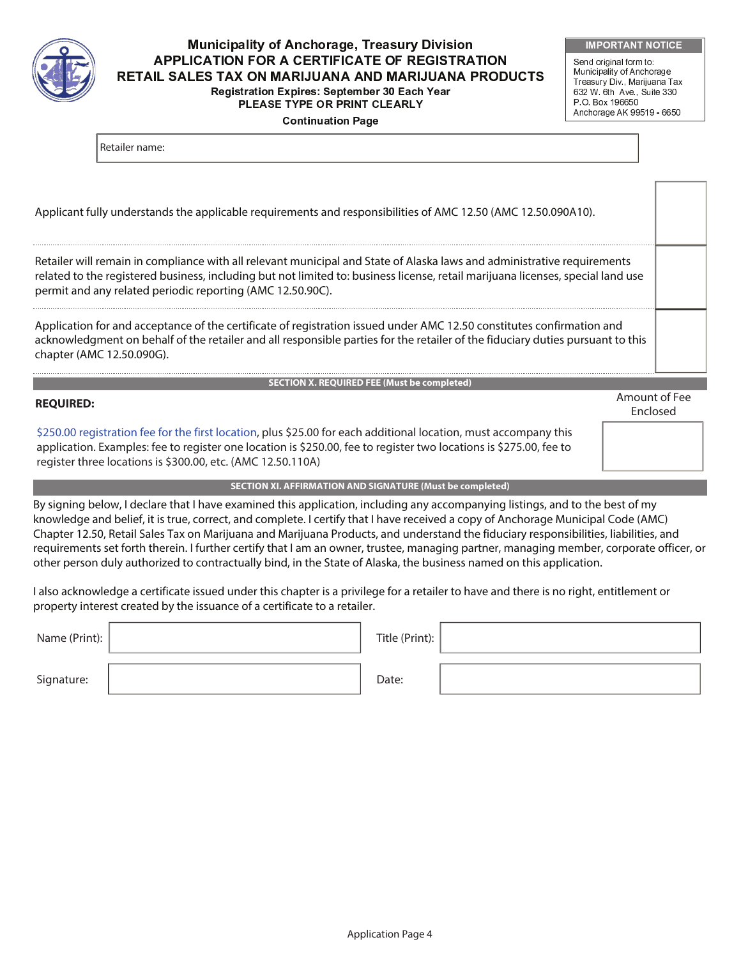

## -  - - APPLICATION FOR A CERTIFICATE OF REGISTRATION RETAIL SALES TAX ON MARIJUANA AND MARIJUANA PRODUCTS Registration Expires: September 30 Each Year PLEASE TYPE OR PRINT CLEARLY

**Continuation Page** 

Send original form to: Municipality of Anchorage Treasury Div., Marijuana Tax 632 W. 6th Ave., Suite 330 P.O. Box 196650 Anchorage AK 99519 - 6650

Retailer name:

| Applicant fully understands the applicable requirements and responsibilities of AMC 12.50 (AMC 12.50.090A10).                                                                                                                                                                                                            |                                  |
|--------------------------------------------------------------------------------------------------------------------------------------------------------------------------------------------------------------------------------------------------------------------------------------------------------------------------|----------------------------------|
| Retailer will remain in compliance with all relevant municipal and State of Alaska laws and administrative requirements<br>related to the registered business, including but not limited to: business license, retail marijuana licenses, special land use<br>permit and any related periodic reporting (AMC 12.50.90C). |                                  |
| Application for and acceptance of the certificate of registration issued under AMC 12.50 constitutes confirmation and<br>acknowledgment on behalf of the retailer and all responsible parties for the retailer of the fiduciary duties pursuant to this<br>chapter (AMC 12.50.090G).                                     |                                  |
| <b>SECTION X. REQUIRED FEE (Must be completed)</b>                                                                                                                                                                                                                                                                       |                                  |
|                                                                                                                                                                                                                                                                                                                          | Amount of Fee<br><b>Fnclosed</b> |

\$250.00 registration fee for the first location, plus \$25.00 for each additional location, must accompany this application. Examples: fee to register one location is \$250.00, fee to register two locations is \$275.00, fee to register three locations is \$300.00, etc. (AMC 12.50.110A)

### **SECTION XI. AFFIRMATION AND SIGNATURE (Must be completed)**

By signing below, I declare that I have examined this application, including any accompanying listings, and to the best of my knowledge and belief, it is true, correct, and complete. I certify that I have received a copy of Anchorage Municipal Code (AMC) Chapter 12.50, Retail Sales Tax on Marijuana and Marijuana Products, and understand the fiduciary responsibilities, liabilities, and requirements set forth therein. I further certify that I am an owner, trustee, managing partner, managing member, corporate officer, or other person duly authorized to contractually bind, in the State of Alaska, the business named on this application.

I also acknowledge a certificate issued under this chapter is a privilege for a retailer to have and there is no right, entitlement or property interest created by the issuance of a certificate to a retailer.

| Name (Print): $\vert$ | Title (Print): $ $ |  |
|-----------------------|--------------------|--|
| Signature:            | Date:              |  |